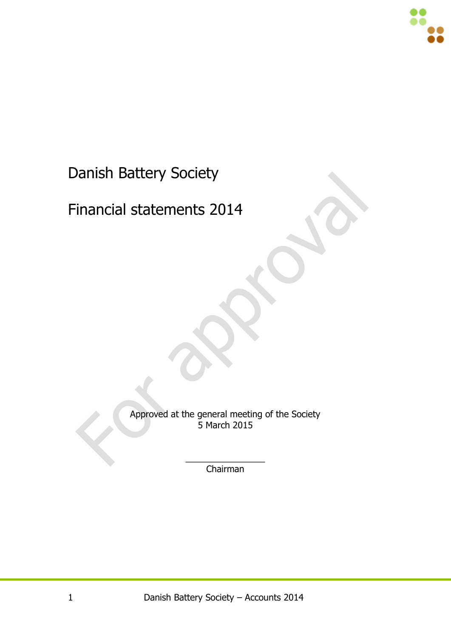

#### Danish Battery Society

#### Financial statements 2014

Approved at the general meeting of the Society 5 March 2015

> $\overline{\phantom{a}}$ Chairman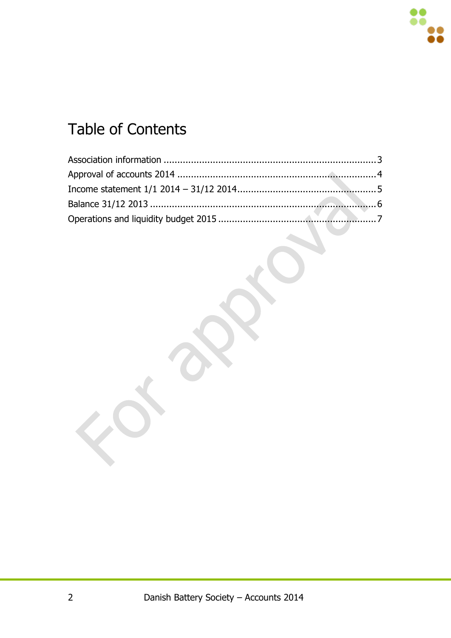# Table of Contents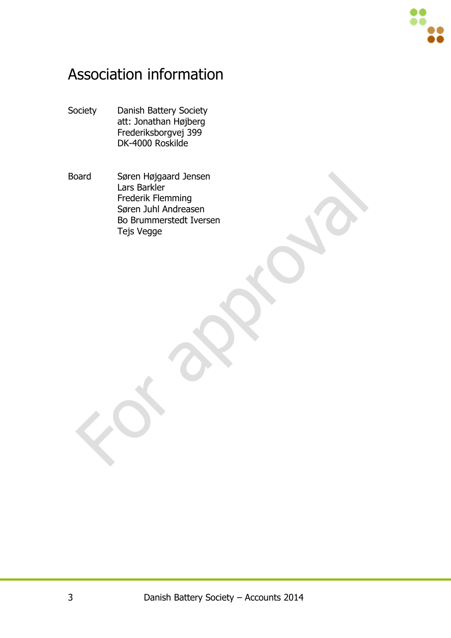

#### <span id="page-2-0"></span>Association information

- Society Danish Battery Society att: Jonathan Højberg Frederiksborgvej 399 DK-4000 Roskilde
- Board Søren Højgaard Jensen Lars Barkler Frederik Flemming Søren Juhl Andreasen Bo Brummerstedt Iversen Tejs Vegge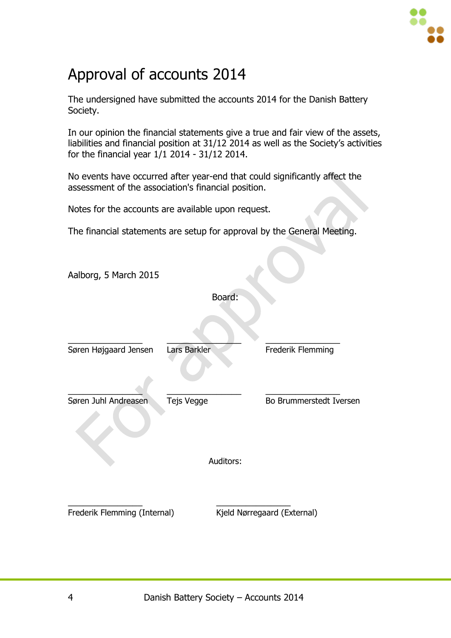

### <span id="page-3-0"></span>Approval of accounts 2014

The undersigned have submitted the accounts 2014 for the Danish Battery Society.

In our opinion the financial statements give a true and fair view of the assets, liabilities and financial position at 31/12 2014 as well as the Society's activities for the financial year 1/1 2014 - 31/12 2014.

No events have occurred after year-end that could significantly affect the assessment of the association's financial position.

Notes for the accounts are available upon request.

The financial statements are setup for approval by the General Meeting.

Aalborg, 5 March 2015 Board:  $\qquad \qquad \qquad -$ Søren Højgaard Jensen Lars Barkler Frederik Flemming  $\frac{1}{2}$  ,  $\frac{1}{2}$  ,  $\frac{1}{2}$  ,  $\frac{1}{2}$  ,  $\frac{1}{2}$  ,  $\frac{1}{2}$  ,  $\frac{1}{2}$  ,  $\frac{1}{2}$  ,  $\frac{1}{2}$  ,  $\frac{1}{2}$  ,  $\frac{1}{2}$  ,  $\frac{1}{2}$  ,  $\frac{1}{2}$  ,  $\frac{1}{2}$  ,  $\frac{1}{2}$  ,  $\frac{1}{2}$  ,  $\frac{1}{2}$  ,  $\frac{1}{2}$  ,  $\frac{1$ Søren Juhl Andreasen Tejs Vegge Bo Brummerstedt Iversen Auditors: \_\_\_\_\_\_\_\_\_\_\_\_\_\_\_ \_\_\_\_\_\_\_\_\_\_\_\_\_\_\_ Frederik Flemming (Internal) Kjeld Nørregaard (External)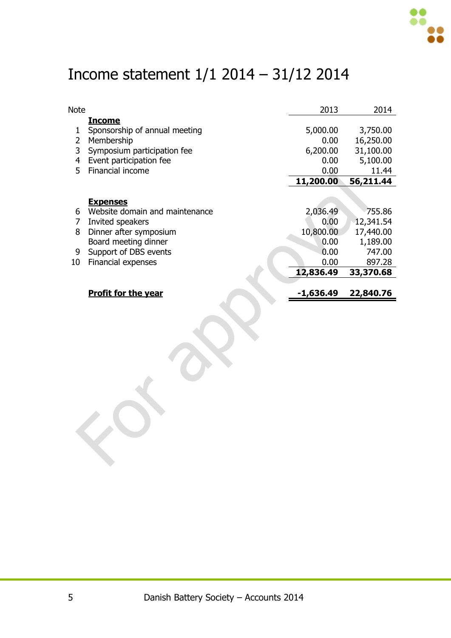

### <span id="page-4-0"></span>Income statement 1/1 2014 – 31/12 2014

| Note |                                | 2013        | 2014      |
|------|--------------------------------|-------------|-----------|
|      | <b>Income</b>                  |             |           |
|      | Sponsorship of annual meeting  | 5,000.00    | 3,750.00  |
| 2    | Membership                     | 0.00        | 16,250.00 |
| 3    | Symposium participation fee    | 6,200.00    | 31,100.00 |
| 4    | Event participation fee        | 0.00        | 5,100.00  |
| 5.   | Financial income               | 0.00        | 11.44     |
|      |                                | 11,200.00   | 56,211.44 |
|      |                                |             |           |
|      | <b>Expenses</b>                |             |           |
| 6    | Website domain and maintenance | 2,036.49    | 755.86    |
| 7    | Invited speakers               | 0.00        | 12,341.54 |
| 8    | Dinner after symposium         | 10,800.00   | 17,440.00 |
|      | Board meeting dinner           | 0.00        | 1,189.00  |
| 9    | Support of DBS events          | 0.00        | 747.00    |
| 10   | Financial expenses             | 0.00        | 897.28    |
|      |                                | 12,836.49   | 33,370.68 |
|      |                                |             |           |
|      | <b>Profit for the year</b>     | $-1,636.49$ | 22,840.76 |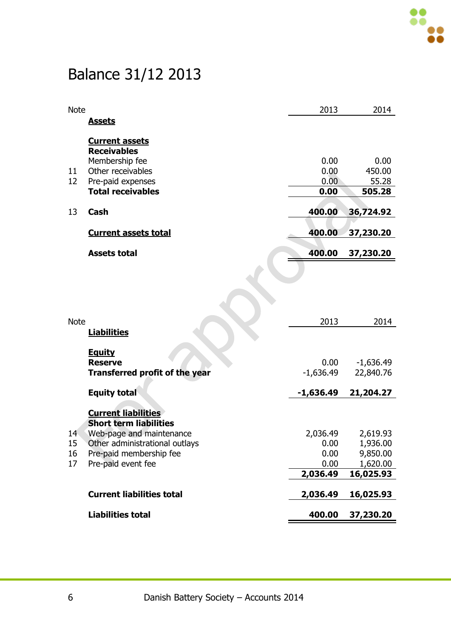# <span id="page-5-0"></span>Balance 31/12 2013

| <b>Note</b>     |                                                             | 2013                | 2014                     |
|-----------------|-------------------------------------------------------------|---------------------|--------------------------|
|                 | <b>Assets</b>                                               |                     |                          |
|                 |                                                             |                     |                          |
|                 | <b>Current assets</b><br><b>Receivables</b>                 |                     |                          |
|                 | Membership fee                                              | 0.00                | 0.00                     |
| 11              | Other receivables                                           | 0.00                | 450.00                   |
| 12              | Pre-paid expenses                                           | 0.00                | 55.28                    |
|                 | <b>Total receivables</b>                                    | 0.00                | 505.28                   |
|                 |                                                             |                     |                          |
| 13              | <b>Cash</b>                                                 | 400.00              | 36,724.92                |
|                 | <b>Current assets total</b>                                 | 400.00              | 37,230.20                |
|                 | <b>Assets total</b>                                         | 400.00              | 37,230.20                |
|                 |                                                             |                     |                          |
|                 |                                                             |                     |                          |
|                 |                                                             |                     |                          |
| <b>Note</b>     |                                                             | 2013                | 2014                     |
|                 | <b>Liabilities</b>                                          |                     |                          |
|                 |                                                             |                     |                          |
|                 | <u>Equity</u>                                               |                     |                          |
|                 | <b>Reserve</b>                                              | 0.00<br>$-1,636.49$ | $-1,636.49$<br>22,840.76 |
|                 | <b>Transferred profit of the year</b>                       |                     |                          |
|                 | <b>Equity total</b>                                         | $-1,636.49$         | 21,204.27                |
|                 |                                                             |                     |                          |
|                 | <b>Current liabilities</b><br><b>Short term liabilities</b> |                     |                          |
| 14 <sup>1</sup> | Web-page and maintenance                                    | 2,036.49            | 2,619.93                 |
| 15              | Other administrational outlays                              | 0.00                | 1,936.00                 |
| 16              | Pre-paid membership fee                                     | 0.00                | 9,850.00                 |
| 17              | Pre-paid event fee                                          | 0.00                | 1,620.00                 |
|                 |                                                             | 2,036.49            | 16,025.93                |
|                 | <b>Current liabilities total</b>                            | 2,036.49            | 16,025.93                |
|                 |                                                             |                     |                          |
|                 | <b>Liabilities total</b>                                    | 400.00              | 37,230.20                |